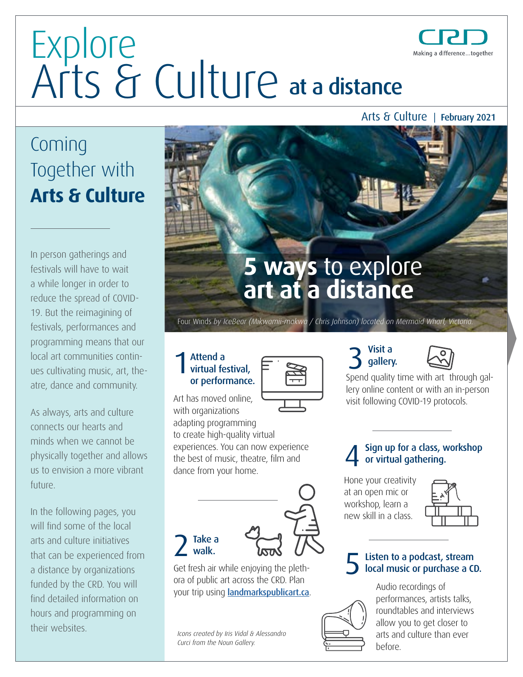Arts & Culture | February 2021

Making a difference...together

### Coming Together with **Arts & Culture**

In person gatherings and festivals will have to wait a while longer in order to reduce the spread of COVID-19. But the reimagining of festivals, performances and programming means that our local art communities continues cultivating music, art, theatre, dance and community.

As always, arts and culture connects our hearts and minds when we cannot be physically together and allows us to envision a more vibrant future.

In the following pages, you will find some of the local arts and culture initiatives that can be experienced from a distance by organizations funded by the CRD. You will find detailed information on hours and programming on their websites.



Four Winds *by IceBear (Mikwamii-makwa / Chris Johnson) located on Mermaid Wharf, Victoria.* 

#### Attend a  $\overline{ }$  and  $\overline{ }$  and  $\overline{ }$  and  $\overline{ }$ virtual festival, or performance. 1

Art has moved online, with organizations

adapting programming to create high-quality virtual experiences. You can now experience the best of music, theatre, flm and dance from your home.



Visit a<br>gallery.



Spend quality time with art through gallery online content or with an in-person visit following COVID-19 protocols.

#### Sign up for a class, workshop or virtual gathering.

Hone your creativity at an open mic or workshop, learn a new skill in a class.



### 5 Listen to a podcast, stream local music or purchase a CD.

Audio recordings of performances, artists talks, roundtables and interviews allow you to get closer to arts and culture than ever before.



#### Take a walk.

Get fresh air while enjoying the plethora of public art across the CRD. Plan your trip using **[landmarkspublicart.ca](http://landmarkspublicart.ca)**.

*Icons created by Iris Vidal & Alessandro Curci from the Noun Gallery.* 

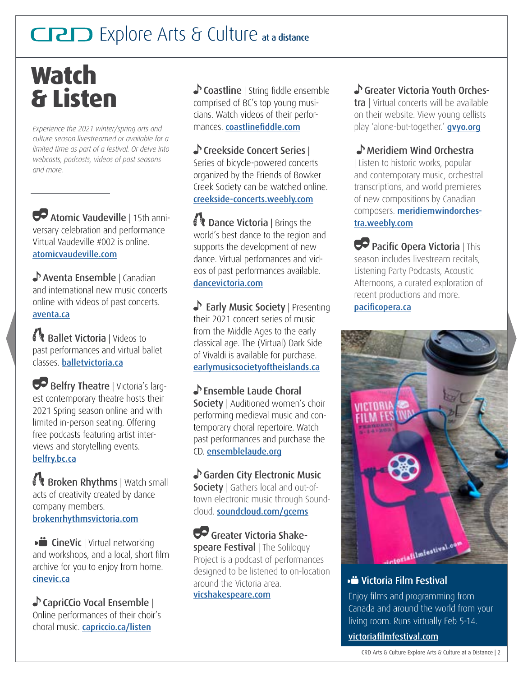### **Watch & Listen**

*Experience the 2021 winter/spring arts and culture season livestreamed or available for a limited time as part of a festival. Or delve into webcasts, podcasts, videos of past seasons and more.*

 Atomic Vaudeville | 15th anniversary celebration and performance Virtual Vaudeville #002 is online. [atomicvaudeville.com](http://www.atomicvaudeville.com)

Aventa Ensemble | Canadian and international new music concerts online with videos of past concerts. [aventa.ca](https://aventa.ca/) 

Ballet Victoria | Videos to past performances and virtual ballet classes. [balletvictoria.ca](http://balletvictoria.ca)

Belfry Theatre | Victoria's largest contemporary theatre hosts their 2021 Spring season online and with limited in-person seating. Offering free podcasts featuring artist interviews and storytelling events. [belfry.bc.ca](http://belfry.bc.ca)

Broken Rhythms | Watch small acts of creativity created by dance company members. [brokenrhythmsvictoria.com](http://www.brokenrhythmsvictoria.com)

**CineVic** | Virtual networking and workshops, and a local, short flm archive for you to enjoy from home. [cinevic.ca](http://cinevic.ca) 

CapriCCio Vocal Ensemble | Online performances of their choir's choral music. [capriccio.ca/listen](http://capriccio.ca/listen) 

 $\bullet$  **Coastline** | String fiddle ensemble comprised of BC's top young musicians. Watch videos of their performances. coastlinefiddle.com

#### Creekside Concert Series |

Series of bicycle-powered concerts organized by the Friends of Bowker Creek Society can be watched online. [creekside-concerts.weebly.com](https://creekside-concerts.weebly.com) 

**Dance Victoria** | Brings the world's best dance to the region and supports the development of new dance. Virtual perfomances and videos of past performances available. [dancevictoria.com](http://dancevictoria.com)

Society | Presenting their 2021 concert series of music from the Middle Ages to the early classical age. The (Virtual) Dark Side of Vivaldi is available for purchase. [earlymusicsocietyoftheislands.ca](http://earlymusicsocietyoftheislands.ca) 

Standale Laude Choral Society | Auditioned women's choir performing medieval music and contemporary choral repertoire. Watch past performances and purchase the CD. [ensemblelaude.org](http://www.ensemblelaude.org) 

Garden City Electronic Music **Society** | Gathers local and out-oftown electronic music through Soundcloud. [soundcloud.com/gcems](http://www.soundcloud.com/gcems)

Greater Victoria Shakespeare Festival | The Soliloquy Project is a podcast of performances designed to be listened to on-location around the Victoria area. [vicshakespeare.com](https://www.vicshakespeare.com) 

#### Greater Victoria Youth Orches-

tra | Virtual concerts will be available on their website. View young cellists play 'alone-but-together.' **gvyo.org** 

#### Meridiem Wind Orchestra

| Listen to historic works, popular and contemporary music, orchestral transcriptions, and world premieres of new compositions by Canadian composers. [meridiemwindorches](http://www.meridiemwindorchestra.weebly.com)[tra.weebly.com](http://www.meridiemwindorchestra.weebly.com)

 $\bullet$  Pacific Opera Victoria | This season includes livestream recitals, Listening Party Podcasts, Acoustic Afternoons, a curated exploration of recent productions and more. pacificopera.ca

terialimiestival

#### Victoria Film Festival

Enjoy flms and programming from Canada and around the world from your living room. Runs virtually Feb 5-14.

[victoriaflmfestival.com](http://victoriafilmfestival.com)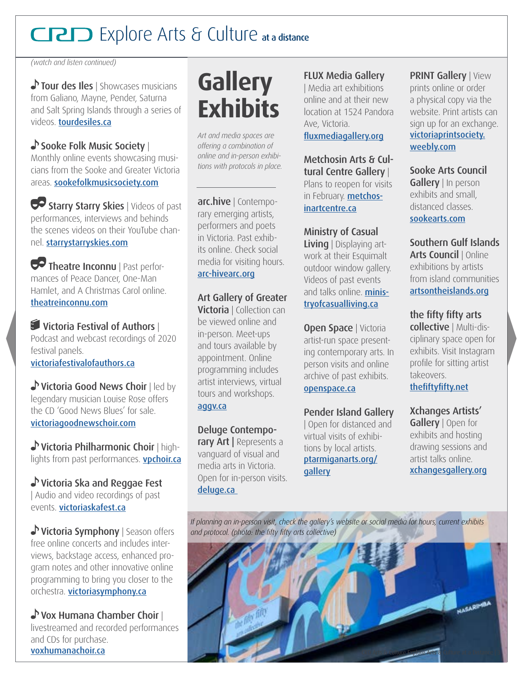*(watch and listen continued)* 

Tour des Iles | Showcases musicians from Galiano, Mayne, Pender, Saturna and Salt Spring Islands through a series of videos. [tourdesiles.ca](https://tourdesiles.ca) 

#### Sooke Folk Music Society |

Monthly online events showcasing musicians from the Sooke and Greater Victoria areas. [sookefolkmusicsociety.com](http://www.sookefolkmusicsociety.com)

Starry Starry Skies | Videos of past performances, interviews and behinds the scenes videos on their YouTube channel. [starrystarryskies.com](http://starrystarryskies.com)

Theatre Inconnu | Past performances of Peace Dancer, One-Man Hamlet, and A Christmas Carol online. [theatreinconnu.com](http://www.theatreinconnu.com)

 $\blacksquare$  Victoria Festival of Authors I Podcast and webcast recordings of 2020 festival panels. [victoriafestivalofauthors.ca](http://victoriafestivalofauthors.ca) 

Victoria Good News Choir | led by legendary musician Louise Rose offers the CD 'Good News Blues' for sale. [victoriagoodnewschoir.com](http://www.victoriagoodnewschoir.com/music ) 

Victoria Philharmonic Choir | highlights from past performances. **vpchoir.ca** 

Victoria Ska and Reggae Fest | Audio and video recordings of past events. [victoriaskafest.ca](http://victoriaskafest.ca)

Victoria Symphony | Season offers free online concerts and includes interviews, backstage access, enhanced program notes and other innovative online programming to bring you closer to the orchestra. [victoriasymphony.ca](https://victoriasymphony.ca/)

Vox Humana Chamber Choir | livestreamed and recorded performances and CDs for purchase. [voxhumanachoir.ca](http://www.voxhumanachoir.ca)

### **Gallery Exhibits**

*Art and media spaces are offering a combination of online and in-person exhibitions with protocols in place.* 

arc.hive | Contemporary emerging artists, performers and poets in Victoria. Past exhibits online. Check social media for visiting hours. [arc-hivearc.org](http://www.arc-hivearc.org)

Art Gallery of Greater **Victoria** | Collection can be viewed online and in-person. Meet-ups and tours available by appointment. Online programming includes artist interviews, virtual tours and workshops. [aggv.ca](https://aggv.ca/)

Deluge Contemporary Art | Represents a vanguard of visual and media arts in Victoria. Open for in-person visits. [deluge.ca](http://www.deluge.ca) 

#### FLUX Media Gallery

| Media art exhibitions online and at their new location at 1524 Pandora Ave, Victoria.

[fuxmediagallery.org](https://flux-media-gallery.squarespace.com/)

Metchosin Arts & Cultural Centre Gallery | Plans to reopen for visits in February. [metchos](https://metchosinartcentre.ca/  )[inartcentre.ca](https://metchosinartcentre.ca/  ) 

Ministry of Casual Living | Displaying artwork at their Esquimalt outdoor window gallery. Videos of past events and talks online. **[minis](http://ministryofcasualliving.ca)**[tryofcasualliving.ca](http://ministryofcasualliving.ca) 

Open Space | Victoria artist-run space presenting contemporary arts. In person visits and online archive of past exhibits. [openspace.ca](https://openspace.ca)

Pender Island Gallery | Open for distanced and virtual visits of exhibitions by local artists. [ptarmiganarts.org](https://www.ptarmiganarts.org/gallery)/ **gallery** 

PRINT Gallery | View prints online or order a physical copy via the website. Print artists can sign up for an exchange. [victoriaprintsociety.](https://victoriaprintsociety.weebly.com) [weebly.com](https://victoriaprintsociety.weebly.com) 

Sooke Arts Council Gallery | In person exhibits and small, distanced classes. [sookearts.com](https://sookearts.com/ )

Southern Gulf Islands Arts Council | Online exhibitions by artists from island communities [artsontheislands.org](https://www.artsontheislands.org)

the fifty fifty arts collective | Multi-disciplinary space open for exhibits. Visit Instagram profle for sitting artist takeovers. thefiftyfifty.net

Xchanges Artists' Gallery | Open for exhibits and hosting drawing sessions and artist talks online. [xchangesgallery.org](https://xchangesgallery.org) 

*If planning an in-person visit, check the gallery's website or social media for hours, current exhibits and protocol. (photo: the ffty ffty arts collective)*  **AASARIMBA** CRD Arts & Culture Explore Arts & Culture at a Distance | 3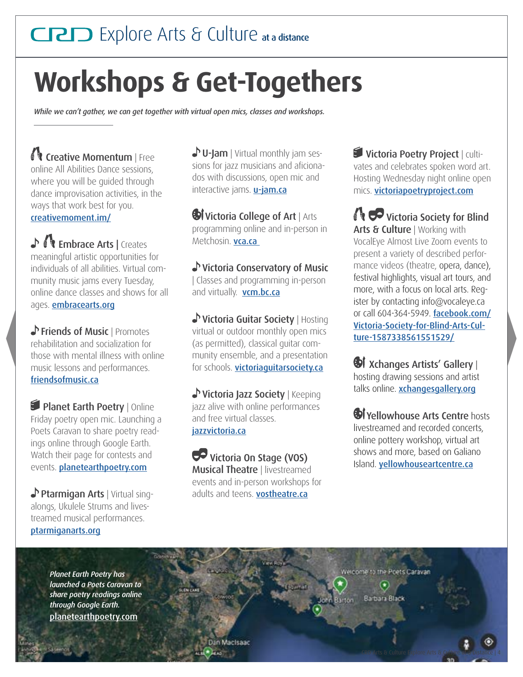## **Workshops & Get-Togethers**

*While we can't gather, we can get together with virtual open mics, classes and workshops.* 

Creative Momentum | Free online All Abilities Dance sessions, where you will be guided through dance improvisation activities, in the ways that work best for you. [creativemoment.im/](https://www.creativemoment.im/) 

♪ **Wembrace Arts | Creates** meaningful artistic opportunities for individuals of all abilities. Virtual community music jams every Tuesday, online dance classes and shows for all ages. [embracearts.org](http://embracearts.org)

Friends of Music | Promotes rehabilitation and socialization for those with mental illness with online music lessons and performances. [friendsofmusic.ca](http://www.friendsofmusic.ca)

Planet Earth Poetry | Online Friday poetry open mic. Launching a Poets Caravan to share poetry readings online through Google Earth. Watch their page for contests and events. **[planetearthpoetry.com](http://planetearthpoetry.com)** 

Ptarmigan Arts | Virtual singalongs, Ukulele Strums and livestreamed musical performances. [ptarmiganarts.org](http://ptarmiganarts.org) 

 $\bullet$  U-Jam | Virtual monthly jam sessions for jazz musicians and aficionados with discussions, open mic and interactive jams. **[u-jam.ca](http://u-jam.ca)** 

**Wictoria College of Art | Arts** programming online and in-person in Metchosin. **vca.ca** 

Victoria Conservatory of Music | Classes and programming in-person and virtually. **[vcm.bc.ca](http://vcm.bc.ca)** 

Victoria Guitar Society | Hosting virtual or outdoor monthly open mics (as permitted), classical guitar community ensemble, and a presentation for schools. [victoriaguitarsociety.ca](http://www.victoriaguitarsociety.ca)

 and free virtual classes. [jazzvictoria.ca](http://www.jazzvictoria.ca) Victoria Jazz Society | Keeping jazz alive with online performances

 Victoria On Stage (VOS) **Musical Theatre | livestreamed** events and in-person workshops for adults and teens. **[vostheatre.ca](http://www.vostheatre.ca)** 

Victoria Poetry Project | cultivates and celebrates spoken word art. Hosting Wednesday night online open mics. [victoriapoetryproject.com](http://victoriapoetryproject.com)

**Victoria Society for Blind** Arts & Culture | Working with VocalEye Almost Live Zoom events to present a variety of described performance videos (theatre, opera, dance), festival highlights, visual art tours, and more, with a focus on local arts. Register by contacting info@vocaleye.ca or call 604-364-5949. [facebook.com/](https://www.facebook.com/Victoria-Society-for-Blind-Arts-Culture-1587338561551529) [Victoria-Society-for-Blind-Arts-Cul](https://www.facebook.com/Victoria-Society-for-Blind-Arts-Culture-1587338561551529)[ture-1587338561551529/](https://www.facebook.com/Victoria-Society-for-Blind-Arts-Culture-1587338561551529)

**W** Xchanges Artists' Gallery | hosting drawing sessions and artist talks online. [xchangesgallery.org](https://xchangesgallery.org/)

**W** Yellowhouse Arts Centre hosts livestreamed and recorded concerts, online pottery workshop, virtual art shows and more, based on Galiano Island. [yellowhouseartcentre.ca](http://yellowhouseartcentre.ca)

CRD Arts & Culture Explore Arts & Culture at a Distance | 4

*Planet Earth Poetry has launched a Poets Caravan to share poetry readings online through Google Earth.*  [planetearthpoetry.com](http://planetearthpoetry.com)

Nelcome to the Poets Carava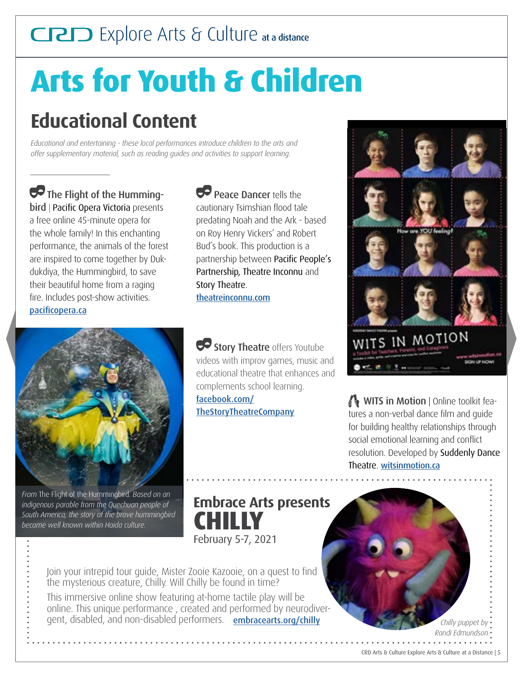# **Arts for Youth & Children**

### **Educational Content**

*Educational and entertaining - these local performances introduce children to the arts and offer supplementary material, such as reading guides and activities to support learning.* 

fire. Includes post-show activities. The Flight of the Hummingbird | Pacific Opera Victoria presents a free online 45-minute opera for the whole family! In this enchanting performance, the animals of the forest are inspired to come together by Dukdukdiya, the Hummingbird, to save their beautiful home from a raging pacificopera.ca



*From* The Flight of the Hummingbird*. Based on an indigenous parable from the Quechuan people of South America, the story of the brave hummingbird became well known within Haida culture.* 

**Peace Dancer tells the** cautionary Tsimshian flood tale predating Noah and the Ark - based on Roy Henry Vickers' and Robert Bud's book. This production is a partnership between Pacific People's Partnership, Theatre Inconnu and Story Theatre. [theatreinconnu.com](https://www.theatreinconnu.com/2020/06/online-viewing-during-covid-19-shutdown/)

Story Theatre offers Youtube videos with improv games, music and educational theatre that enhances and complements school learning.

[facebook.com/](https://www.facebook.com/TheStoryTheatreCompany) [TheStoryTheatreCompany](https://www.facebook.com/TheStoryTheatreCompany) 



**WITS in Motion** | Online toolkit features a non-verbal dance film and quide for building healthy relationships through social emotional learning and confict resolution. Developed by Suddenly Dance Theatre. [witsinmotion.ca](http://witsinmotion.ca)

**Embrace Arts presents CHILLY**  February 5-7, 2021

Join your intrepid tour guide, Mister Zooie Kazooie, on a quest to find the mysterious creature, Chilly. Will Chilly be found in time?

gent, disabled, and non-disabled performers. [embracearts.org/chilly](https://www.embracearts.org/chilly) This immersive online show featuring at-home tactile play will be online. This unique performance , created and performed by neurodiver-

*Chilly puppet by Randi Edmundson*